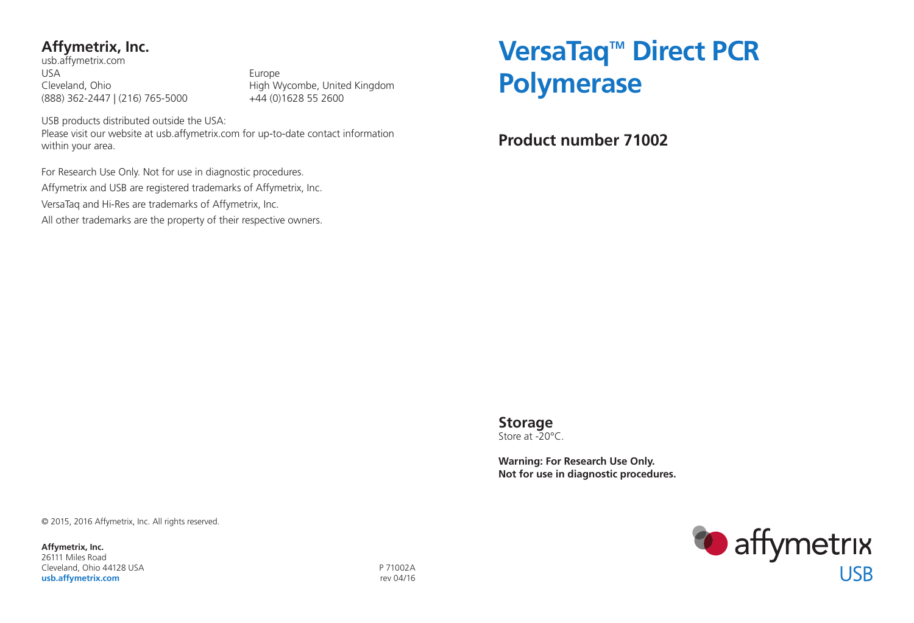# **Affymetrix, Inc.**

usb.affymetrix.com USA Europe (888) 362-2447 | (216) 765-5000 +44 (0)1628 55 2600

Cleveland, Ohio **High Wycombe, United Kingdom** 

USB products distributed outside the USA: Please visit our website at usb.affymetrix.com for up-to-date contact information within your area.

For Research Use Only. Not for use in diagnostic procedures.

Affymetrix and USB are registered trademarks of Affymetrix, Inc.

VersaTaq and Hi-Res are trademarks of Affymetrix, Inc.

All other trademarks are the property of their respective owners.

# VersaTaq<sup>™</sup> Direct PCR **Polymerase**

**Product number 71002**

**Storage** Store at -20°C.

**Warning: For Research Use Only. Not for use in diagnostic procedures.**

© 2015, 2016 Affymetrix, Inc. All rights reserved.

**Affymetrix, Inc.** 26111 Miles Road Cleveland, Ohio 44128 USA P 71002A **usb.affymetrix.com rev 04/16** 

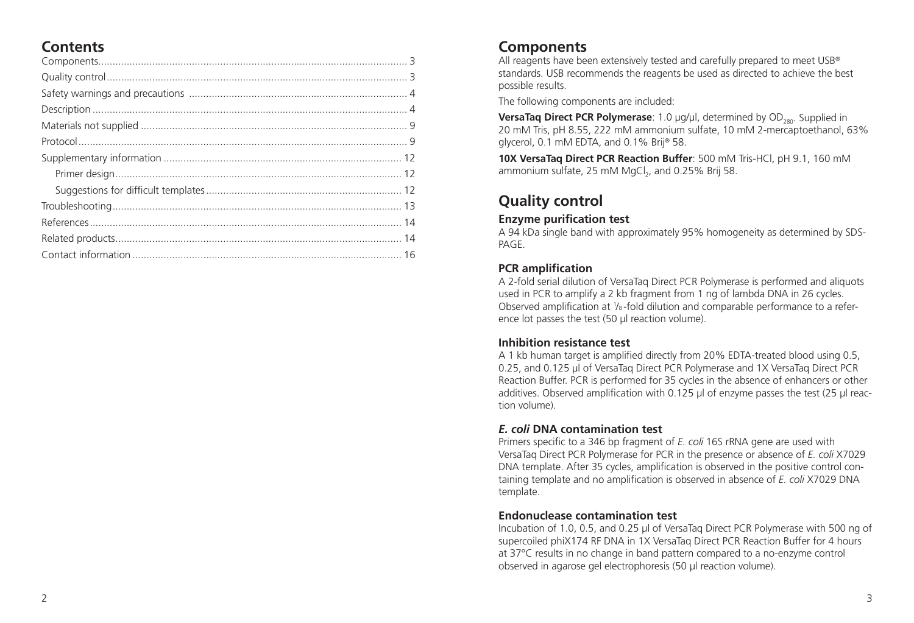# **Contents**

## **Components**

All reagents have been extensively tested and carefully prepared to meet USB<sup>®</sup> standards. USB recommends the reagents be used as directed to achieve the best possible results.

The following components are included:

**VersaTaq Direct PCR Polymerase**: 1.0 µg/µl, determined by OD<sub>280</sub>. Supplied in 20 mM Tris, pH 8.55, 222 mM ammonium sulfate, 10 mM 2-mercaptoethanol, 63% glycerol, 0.1 mM EDTA, and 0.1% Brij® 58.

**10X VersaTaq Direct PCR Reaction Buffer**: 500 mM Tris-HCl, pH 9.1, 160 mM ammonium sulfate, 25 mM MgCl<sub>2</sub>, and 0.25% Brij 58.

# **Quality control**

#### **Enzyme purification test**

A 94 kDa single band with approximately 95% homogeneity as determined by SDS-PAGE.

### **PCR amplification**

A 2-fold serial dilution of VersaTaq Direct PCR Polymerase is performed and aliquots used in PCR to amplify a 2 kb fragment from 1 ng of lambda DNA in 26 cycles. Observed amplification at 1/8-fold dilution and comparable performance to a reference lot passes the test (50 µl reaction volume).

#### **Inhibition resistance test**

A 1 kb human target is amplified directly from 20% EDTA-treated blood using 0.5, 0.25, and 0.125 µl of VersaTaq Direct PCR Polymerase and 1X VersaTaq Direct PCR Reaction Buffer. PCR is performed for 35 cycles in the absence of enhancers or other additives. Observed amplification with 0.125 µl of enzyme passes the test (25 µl reaction volume).

#### *E. coli* **DNA contamination test**

Primers specific to a 346 bp fragment of *E. coli* 16S rRNA gene are used with VersaTaq Direct PCR Polymerase for PCR in the presence or absence of *E. coli* X7029 DNA template. After 35 cycles, amplification is observed in the positive control containing template and no amplification is observed in absence of *E. coli* X7029 DNA template.

#### **Endonuclease contamination test**

Incubation of 1.0, 0.5, and 0.25 µl of VersaTaq Direct PCR Polymerase with 500 ng of supercoiled phiX174 RF DNA in 1X VersaTaq Direct PCR Reaction Buffer for 4 hours at 37°C results in no change in band pattern compared to a no-enzyme control observed in agarose gel electrophoresis (50 µl reaction volume).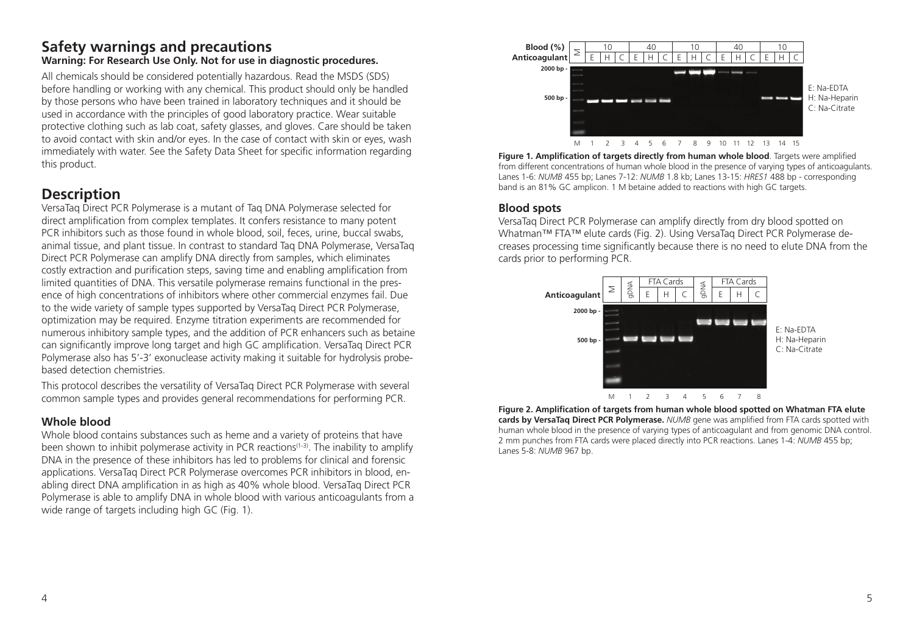#### **Safety warnings and precautions Warning: For Research Use Only. Not for use in diagnostic procedures.**

All chemicals should be considered potentially hazardous. Read the MSDS (SDS) before handling or working with any chemical. This product should only be handled by those persons who have been trained in laboratory techniques and it should be used in accordance with the principles of good laboratory practice. Wear suitable protective clothing such as lab coat, safety glasses, and gloves. Care should be taken to avoid contact with skin and/or eyes. In the case of contact with skin or eyes, wash immediately with water. See the Safety Data Sheet for specific information regarding this product.

# **Description**

VersaTaq Direct PCR Polymerase is a mutant of Taq DNA Polymerase selected for direct amplification from complex templates. It confers resistance to many potent PCR inhibitors such as those found in whole blood, soil, feces, urine, buccal swabs, animal tissue, and plant tissue. In contrast to standard Taq DNA Polymerase, VersaTaq Direct PCR Polymerase can amplify DNA directly from samples, which eliminates costly extraction and purification steps, saving time and enabling amplification from limited quantities of DNA. This versatile polymerase remains functional in the presence of high concentrations of inhibitors where other commercial enzymes fail. Due to the wide variety of sample types supported by VersaTaq Direct PCR Polymerase, optimization may be required. Enzyme titration experiments are recommended for numerous inhibitory sample types, and the addition of PCR enhancers such as betaine can significantly improve long target and high GC amplification. VersaTaq Direct PCR Polymerase also has 5'-3' exonuclease activity making it suitable for hydrolysis probebased detection chemistries.

This protocol describes the versatility of VersaTaq Direct PCR Polymerase with several common sample types and provides general recommendations for performing PCR.

#### **Whole blood**

Whole blood contains substances such as heme and a variety of proteins that have been shown to inhibit polymerase activity in PCR reactions<sup>(1-3)</sup>. The inability to amplify DNA in the presence of these inhibitors has led to problems for clinical and forensic applications. VersaTaq Direct PCR Polymerase overcomes PCR inhibitors in blood, enabling direct DNA amplification in as high as 40% whole blood. VersaTaq Direct PCR Polymerase is able to amplify DNA in whole blood with various anticoagulants from a wide range of targets including high GC (Fig. 1).



**Figure 1. Amplification of targets directly from human whole blood**. Targets were amplified from different concentrations of human whole blood in the presence of varying types of anticoagulants. Lanes 1-6: *NUMB* 455 bp; Lanes 7-12: *NUMB* 1.8 kb; Lanes 13-15: *HRES1* 488 bp - corresponding band is an 81% GC amplicon. 1 M betaine added to reactions with high GC targets.

#### **Blood spots**

VersaTaq Direct PCR Polymerase can amplify directly from dry blood spotted on Whatman™ FTA™ elute cards (Fig. 2). Using VersaTaq Direct PCR Polymerase decreases processing time significantly because there is no need to elute DNA from the cards prior to performing PCR.



**Figure 2. Amplification of targets from human whole blood spotted on Whatman FTA elute cards by VersaTaq Direct PCR Polymerase.** *NUMB* gene was amplified from FTA cards spotted with human whole blood in the presence of varying types of anticoagulant and from genomic DNA control. 2 mm punches from FTA cards were placed directly into PCR reactions. Lanes 1-4: *NUMB* 455 bp; Lanes 5-8: *NUMB* 967 bp.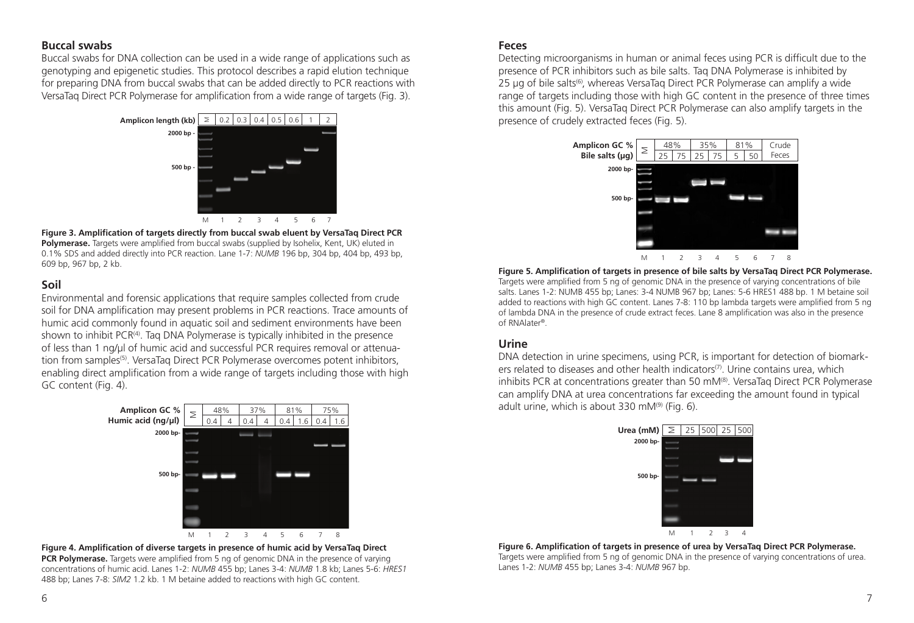#### **Buccal swabs**

Buccal swabs for DNA collection can be used in a wide range of applications such as genotyping and epigenetic studies. This protocol describes a rapid elution technique for preparing DNA from buccal swabs that can be added directly to PCR reactions with VersaTaq Direct PCR Polymerase for amplification from a wide range of targets (Fig. 3).



**Figure 3. Amplification of targets directly from buccal swab eluent by VersaTaq Direct PCR Polymerase.** Targets were amplified from buccal swabs (supplied by Isohelix, Kent, UK) eluted in 0.1% SDS and added directly into PCR reaction. Lane 1-7: *NUMB* 196 bp, 304 bp, 404 bp, 493 bp, 609 bp, 967 bp, 2 kb.

#### **Soil**

Environmental and forensic applications that require samples collected from crude soil for DNA amplification may present problems in PCR reactions. Trace amounts of humic acid commonly found in aquatic soil and sediment environments have been shown to inhibit PCR<sup>(4)</sup>. Tag DNA Polymerase is typically inhibited in the presence of less than 1 ng/µl of humic acid and successful PCR requires removal or attenuation from samples<sup>(5)</sup>. VersaTag Direct PCR Polymerase overcomes potent inhibitors, enabling direct amplification from a wide range of targets including those with high GC content (Fig. 4).





#### **Feces**

Detecting microorganisms in human or animal feces using PCR is difficult due to the presence of PCR inhibitors such as bile salts. Taq DNA Polymerase is inhibited by  $25 \mu$ g of bile salts<sup>(6)</sup>, whereas VersaTaq Direct PCR Polymerase can amplify a wide range of targets including those with high GC content in the presence of three times this amount (Fig. 5). VersaTaq Direct PCR Polymerase can also amplify targets in the presence of crudely extracted feces (Fig. 5).



**Figure 5. Amplification of targets in presence of bile salts by VersaTaq Direct PCR Polymerase.**  Targets were amplified from 5 ng of genomic DNA in the presence of varying concentrations of bile salts. Lanes 1-2: NUMB 455 bp; Lanes: 3-4 NUMB 967 bp; Lanes: 5-6 HRES1 488 bp. 1 M betaine soil added to reactions with high GC content. Lanes 7-8: 110 bp lambda targets were amplified from 5 ng of lambda DNA in the presence of crude extract feces. Lane 8 amplification was also in the presence of RNAlater®.

#### **Urine**

DNA detection in urine specimens, using PCR, is important for detection of biomarkers related to diseases and other health indicators<sup>(7)</sup>. Urine contains urea, which inhibits PCR at concentrations greater than 50 mM $^{(8)}$ . VersaTaq Direct PCR Polymerase can amplify DNA at urea concentrations far exceeding the amount found in typical adult urine, which is about 330 mM $(9)$  (Fig. 6).



**Figure 6. Amplification of targets in presence of urea by VersaTaq Direct PCR Polymerase.** Targets were amplified from 5 ng of genomic DNA in the presence of varying concentrations of urea. Lanes 1-2: *NUMB* 455 bp; Lanes 3-4: *NUMB* 967 bp.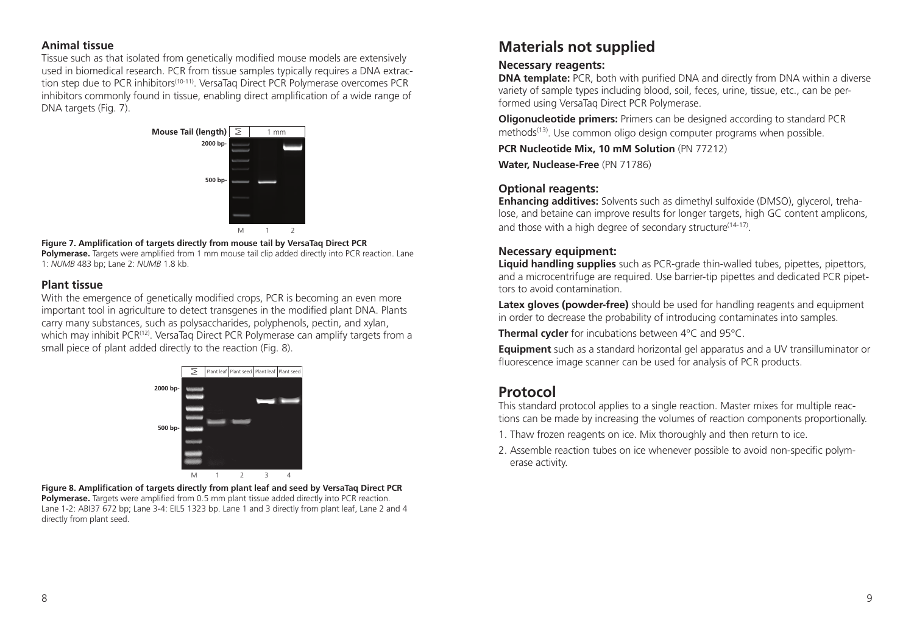#### **Animal tissue**

Tissue such as that isolated from genetically modified mouse models are extensively used in biomedical research. PCR from tissue samples typically requires a DNA extraction step due to PCR inhibitors<sup>(10-11)</sup>. VersaTaq Direct PCR Polymerase overcomes PCR inhibitors commonly found in tissue, enabling direct amplification of a wide range of DNA targets (Fig. 7).



#### **Figure 7. Amplification of targets directly from mouse tail by VersaTaq Direct PCR Polymerase.** Targets were amplified from 1 mm mouse tail clip added directly into PCR reaction. Lane

1: *NUMB* 483 bp; Lane 2: *NUMB* 1.8 kb.

#### **Plant tissue**

With the emergence of genetically modified crops, PCR is becoming an even more important tool in agriculture to detect transgenes in the modified plant DNA. Plants carry many substances, such as polysaccharides, polyphenols, pectin, and xylan, which may inhibit PCR<sup>(12)</sup>. VersaTaq Direct PCR Polymerase can amplify targets from a small piece of plant added directly to the reaction (Fig. 8).



**Figure 8. Amplification of targets directly from plant leaf and seed by VersaTaq Direct PCR Polymerase.** Targets were amplified from 0.5 mm plant tissue added directly into PCR reaction. Lane 1-2: ABI37 672 bp; Lane 3-4: EIL5 1323 bp. Lane 1 and 3 directly from plant leaf, Lane 2 and 4 directly from plant seed.

# **Materials not supplied**

#### **Necessary reagents:**

**DNA template:** PCR, both with purified DNA and directly from DNA within a diverse variety of sample types including blood, soil, feces, urine, tissue, etc., can be performed using VersaTaq Direct PCR Polymerase.

**Oligonucleotide primers:** Primers can be designed according to standard PCR methods<sup>(13)</sup>. Use common oligo design computer programs when possible.

**PCR Nucleotide Mix, 10 mM Solution** (PN 77212)

**Water, Nuclease-Free** (PN 71786)

#### **Optional reagents:**

**Enhancing additives:** Solvents such as dimethyl sulfoxide (DMSO), glycerol, trehalose, and betaine can improve results for longer targets, high GC content amplicons, and those with a high degree of secondary structure<sup>(14-17)</sup>.

#### **Necessary equipment:**

**Liquid handling supplies** such as PCR-grade thin-walled tubes, pipettes, pipettors, and a microcentrifuge are required. Use barrier-tip pipettes and dedicated PCR pipettors to avoid contamination.

**Latex gloves (powder-free)** should be used for handling reagents and equipment in order to decrease the probability of introducing contaminates into samples.

**Thermal cycler** for incubations between 4°C and 95°C.

**Equipment** such as a standard horizontal gel apparatus and a UV transilluminator or fluorescence image scanner can be used for analysis of PCR products.

## **Protocol**

This standard protocol applies to a single reaction. Master mixes for multiple reactions can be made by increasing the volumes of reaction components proportionally.

- 1. Thaw frozen reagents on ice. Mix thoroughly and then return to ice.
- 2. Assemble reaction tubes on ice whenever possible to avoid non-specific polymerase activity.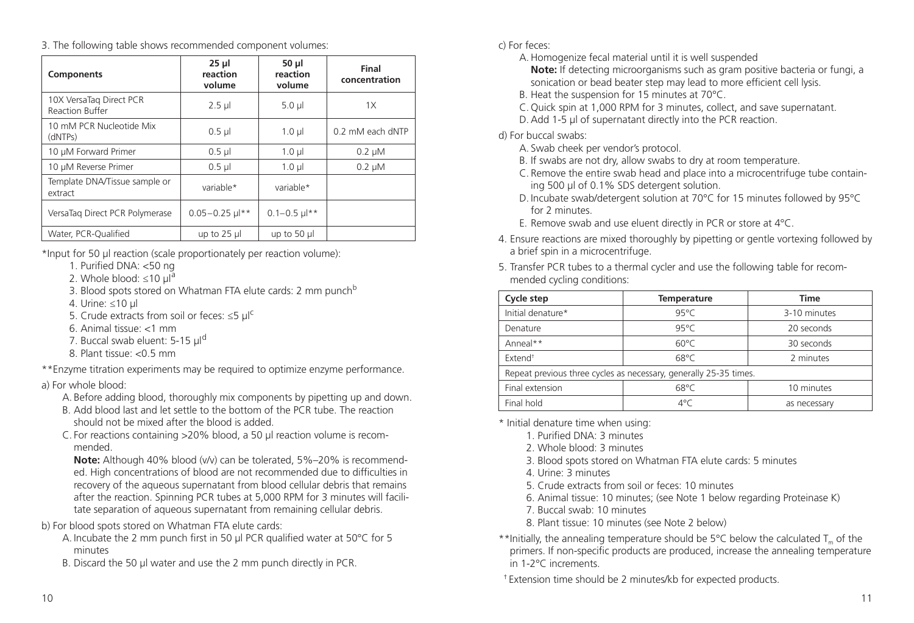3. The following table shows recommended component volumes:

| <b>Components</b>                          | 25 <sub>µ</sub><br>reaction<br>volume | 50 <sub>µ</sub><br>reaction<br>volume | Final<br>concentration |
|--------------------------------------------|---------------------------------------|---------------------------------------|------------------------|
| 10X VersaTag Direct PCR<br>Reaction Buffer | $2.5$ µl                              | $5.0 \mu$                             | 1X                     |
| 10 mM PCR Nucleotide Mix<br>(dNTPs)        | $0.5$ µ                               | $1.0 \mu$                             | 0.2 mM each dNTP       |
| 10 µM Forward Primer                       | $0.5$ µ                               | $1.0 \mu$                             | $0.2 \mu M$            |
| 10 µM Reverse Primer                       | $0.5$ $\mu$                           | $1.0 \mu$                             | $0.2 \mu M$            |
| Template DNA/Tissue sample or<br>extract   | variable*                             | variable*                             |                        |
| VersaTag Direct PCR Polymerase             | $0.05 - 0.25$ $\mu$ <sup>**</sup>     | $0.1 - 0.5$ $\mu$ **                  |                        |
| Water, PCR-Qualified                       | up to $25$ µ                          | up to 50 µl                           |                        |

\*Input for 50 µl reaction (scale proportionately per reaction volume):

- 1. Purified DNA: <50 ng
- 2. Whole blood:  $\leq 10 \mu$ l<sup>a</sup>
- 3. Blood spots stored on Whatman FTA elute cards: 2 mm punch<sup>b</sup>
- 4. Urine: ≤10 µl
- 5. Crude extracts from soil or feces: ≤5  $\mu$ |<sup>c</sup>
- 6. Animal tissue: <1 mm
- 7. Buccal swab eluent: 5-15 µl<sup>d</sup>
- 8. Plant tissue: <0.5 mm

\*\*Enzyme titration experiments may be required to optimize enzyme performance.

#### a) For whole blood:

- A. Before adding blood, thoroughly mix components by pipetting up and down.
- B. Add blood last and let settle to the bottom of the PCR tube. The reaction should not be mixed after the blood is added.
- C. For reactions containing >20% blood, a 50 µl reaction volume is recommended.

**Note:** Although 40% blood (v/v) can be tolerated, 5%–20% is recommended. High concentrations of blood are not recommended due to difficulties in recovery of the aqueous supernatant from blood cellular debris that remains after the reaction. Spinning PCR tubes at 5,000 RPM for 3 minutes will facilitate separation of aqueous supernatant from remaining cellular debris.

b) For blood spots stored on Whatman FTA elute cards:

- A. Incubate the 2 mm punch first in 50 μl PCR qualified water at 50°C for 5 minutes
- B. Discard the 50 μl water and use the 2 mm punch directly in PCR.

c) For feces:

- A. Homogenize fecal material until it is well suspended
	- **Note:** If detecting microorganisms such as gram positive bacteria or fungi, a sonication or bead beater step may lead to more efficient cell lysis.
- B. Heat the suspension for 15 minutes at 70°C.
- C. Quick spin at 1,000 RPM for 3 minutes, collect, and save supernatant.
- D. Add 1-5 µl of supernatant directly into the PCR reaction.

#### d) For buccal swabs:

- A. Swab cheek per vendor's protocol.
- B. If swabs are not dry, allow swabs to dry at room temperature.
- C. Remove the entire swab head and place into a microcentrifuge tube containing 500 µl of 0.1% SDS detergent solution.
- D. Incubate swab/detergent solution at 70°C for 15 minutes followed by 95°C for 2 minutes.
- E. Remove swab and use eluent directly in PCR or store at 4°C.
- 4. Ensure reactions are mixed thoroughly by pipetting or gentle vortexing followed by a brief spin in a microcentrifuge.
- 5. Transfer PCR tubes to a thermal cycler and use the following table for recommended cycling conditions:

| Cycle step                                                        | <b>Temperature</b> | <b>Time</b>  |  |
|-------------------------------------------------------------------|--------------------|--------------|--|
| Initial denature*                                                 | $95^{\circ}$ C     | 3-10 minutes |  |
| Denature                                                          | $95^{\circ}C$      | 20 seconds   |  |
| Anneal**                                                          | $60^{\circ}$ C     | 30 seconds   |  |
| Extend <sup>+</sup>                                               | $68^{\circ}$ C     | 2 minutes    |  |
| Repeat previous three cycles as necessary, generally 25-35 times. |                    |              |  |
| Final extension                                                   | $68^{\circ}$ C     | 10 minutes   |  |
| Final hold                                                        | $4^{\circ}$ C      | as necessary |  |

\* Initial denature time when using:

- 1. Purified DNA: 3 minutes
- 2. Whole blood: 3 minutes
- 3. Blood spots stored on Whatman FTA elute cards: 5 minutes
- 4. Urine: 3 minutes
- 5. Crude extracts from soil or feces: 10 minutes
- 6. Animal tissue: 10 minutes; (see Note 1 below regarding Proteinase K)
- 7. Buccal swab: 10 minutes
- 8. Plant tissue: 10 minutes (see Note 2 below)
- \*\*Initially, the annealing temperature should be 5 $\degree$ C below the calculated T<sub>n</sub> of the primers. If non-specific products are produced, increase the annealing temperature in 1-2°C increments.

† Extension time should be 2 minutes/kb for expected products.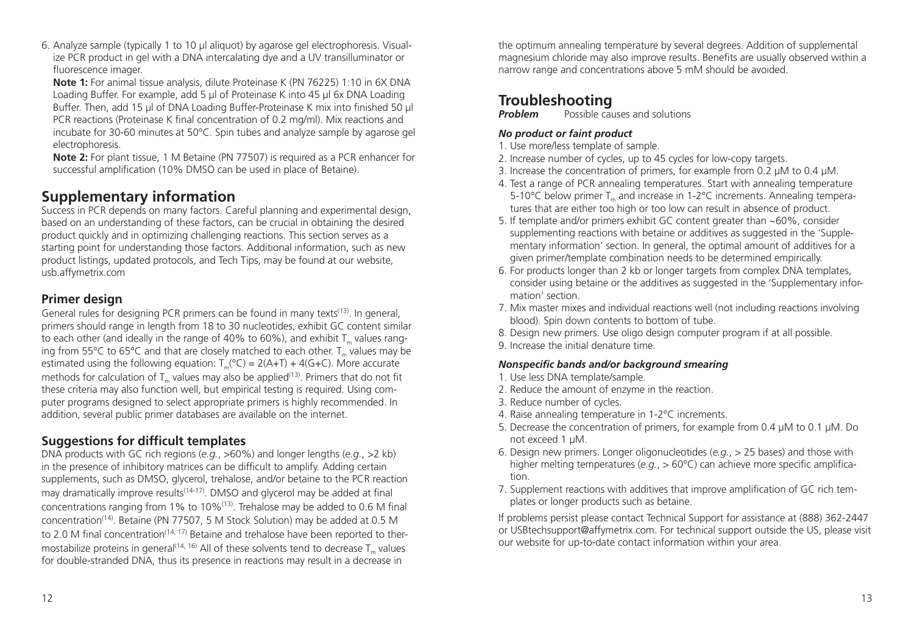6. Analyze sample (typically 1 to 10 µl aliquot) by agarose gel electrophoresis. Visualize PCR product in gel with a DNA intercalating dye and a UV transilluminator or fluorescence imager.

**Note 1:** For animal tissue analysis, dilute Proteinase K (PN 76225) 1:10 in 6X DNA Loading Buffer. For example, add 5 µl of Proteinase K into 45 µl 6x DNA Loading Buffer. Then, add 15 µl of DNA Loading Buffer-Proteinase K mix into finished 50 µl PCR reactions (Proteinase K final concentration of 0.2 mg/ml). Mix reactions and incubate for 30-60 minutes at 50°C. Spin tubes and analyze sample by agarose gel electrophoresis.

**Note 2:** For plant tissue, 1 M Betaine (PN 77507) is required as a PCR enhancer for successful amplification (10% DMSO can be used in place of Betaine).

# **Supplementary information**

Success in PCR depends on many factors. Careful planning and experimental design, based on an understanding of these factors, can be crucial in obtaining the desired product quickly and in optimizing challenging reactions. This section serves as a starting point for understanding those factors. Additional information, such as new product listings, updated protocols, and Tech Tips, may be found at our website, usb.affymetrix.com

## **Primer design**

General rules for designing PCR primers can be found in many texts<sup>(13)</sup>. In general, primers should range in length from 18 to 30 nucleotides, exhibit GC content similar to each other (and ideally in the range of 40% to 60%), and exhibit  $T_m$  values ranging from 55°C to 65°C and that are closely matched to each other.  $T_m$  values may be estimated using the following equation:  $T_m$ <sup>( $\degree$ C) = 2(A+T) + 4(G+C). More accurate</sup> methods for calculation of  $T_m$  values may also be applied<sup>(13)</sup>. Primers that do not fit these criteria may also function well, but empirical testing is required. Using computer programs designed to select appropriate primers is highly recommended. In addition, several public primer databases are available on the internet.

## **Suggestions for difficult templates**

DNA products with GC rich regions (*e.g.*, >60%) and longer lengths (*e.g.*, >2 kb) in the presence of inhibitory matrices can be difficult to amplify. Adding certain supplements, such as DMSO, glycerol, trehalose, and/or betaine to the PCR reaction may dramatically improve results<sup>(14-17)</sup>. DMSO and glycerol may be added at final concentrations ranging from 1% to  $10\%$ <sup>(13)</sup>. Trehalose may be added to 0.6 M final concentration(14). Betaine (PN 77507, 5 M Stock Solution) may be added at 0.5 M to 2.0 M final concentration<sup> $(14, 17)$ </sup> Betaine and trehalose have been reported to thermostabilize proteins in general<sup> $(14, 16)$ </sup> All of these solvents tend to decrease  $T_m$  values for double-stranded DNA, thus its presence in reactions may result in a decrease in

the optimum annealing temperature by several degrees. Addition of supplemental magnesium chloride may also improve results. Benefits are usually observed within a narrow range and concentrations above 5 mM should be avoided.

# **Troubleshooting**<br>**Problem** Possible cau

**Possible causes and solutions** 

## *No product or faint product*

- 1. Use more/less template of sample.
- 2. Increase number of cycles, up to 45 cycles for low-copy targets.
- 3. Increase the concentration of primers, for example from 0.2 µM to 0.4 µM.
- 4. Test a range of PCR annealing temperatures. Start with annealing temperature 5-10°C below primer T<sub>re</sub> and increase in 1-2°C increments. Annealing temperatures that are either too high or too low can result in absence of product.
- 5. If template and/or primers exhibit GC content greater than ~60%, consider supplementing reactions with betaine or additives as suggested in the 'Supplementary information' section. In general, the optimal amount of additives for a given primer/template combination needs to be determined empirically.
- 6. For products longer than 2 kb or longer targets from complex DNA templates, consider using betaine or the additives as suggested in the 'Supplementary information' section.
- 7. Mix master mixes and individual reactions well (not including reactions involving blood). Spin down contents to bottom of tube.
- 8. Design new primers. Use oligo design computer program if at all possible.
- 9. Increase the initial denature time.

### *Nonspecific bands and/or background smearing*

- 1. Use less DNA template/sample.
- 2. Reduce the amount of enzyme in the reaction.
- 3. Reduce number of cycles.
- 4. Raise annealing temperature in 1-2°C increments.
- 5. Decrease the concentration of primers, for example from 0.4 µM to 0.1 µM. Do not exceed 1 µM.
- 6. Design new primers. Longer oligonucleotides (*e.g.*, > 25 bases) and those with higher melting temperatures (*e.g.*, > 60°C) can achieve more specific amplification.
- 7. Supplement reactions with additives that improve amplification of GC rich templates or longer products such as betaine.

If problems persist please contact Technical Support for assistance at (888) 362-2447 or USBtechsupport@affymetrix.com. For technical support outside the US, please visit our website for up-to-date contact information within your area.